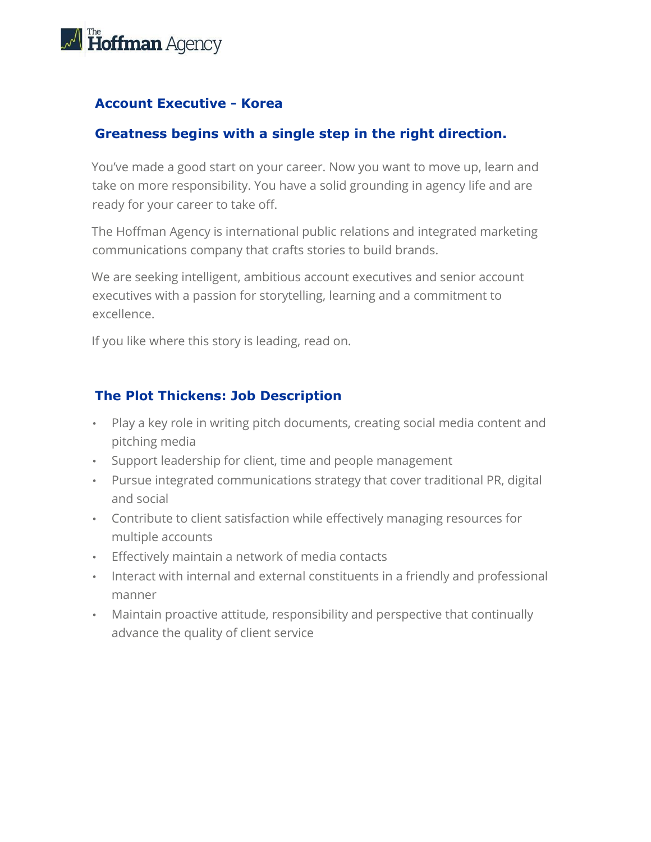

## **Account Executive - Korea**

#### **Greatness begins with a single step in the right direction.**

You've made a good start on your career. Now you want to move up, learn and take on more responsibility. You have a solid grounding in agency life and are ready for your career to take off.

The Hoffman Agency is international public relations and integrated marketing communications company that crafts stories to build brands.

We are seeking intelligent, ambitious account executives and senior account executives with a passion for storytelling, learning and a commitment to excellence.

If you like where this story is leading, read on.

## **The Plot Thickens: Job Description**

- Play a key role in writing pitch documents, creating social media content and pitching media
- Support leadership for client, time and people management
- Pursue integrated communications strategy that cover traditional PR, digital and social
- Contribute to client satisfaction while effectively managing resources for multiple accounts
- Effectively maintain a network of media contacts
- Interact with internal and external constituents in a friendly and professional manner
- Maintain proactive attitude, responsibility and perspective that continually advance the quality of client service